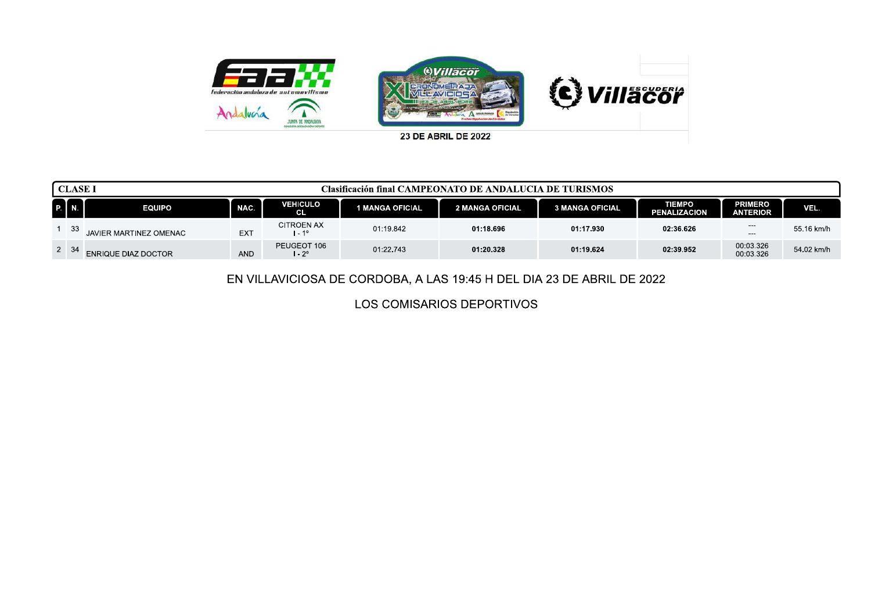

| <b>CLASE I</b> |                            |            |                              | Clasificación final CAMPEONATO DE ANDALUCIA DE TURISMOS |                        |                        |                                      |                                   |            |
|----------------|----------------------------|------------|------------------------------|---------------------------------------------------------|------------------------|------------------------|--------------------------------------|-----------------------------------|------------|
| P.   N.        | <b>EQUIPO</b>              | NAC.       | <b>VEHICULO</b><br><b>CL</b> | 1 MANGA OFICIAL                                         | <b>2 MANGA OFICIAL</b> | <b>3 MANGA OFICIAL</b> | <b>TIEMPO</b><br><b>PENALIZACION</b> | <b>PRIMERO</b><br><b>ANTERIOR</b> | VEL.       |
| 1 33           | JAVIER MARTINEZ OMENAC     | <b>EXT</b> | CITROEN AX<br>l - 1º         | 01:19.842                                               | 01:18.696              | 01:17.930              | 02:36.626                            | $\qquad \qquad \cdots$<br>$---$   | 55.16 km/h |
| $2 \quad 34$   | <b>ENRIQUE DIAZ DOCTOR</b> | <b>AND</b> | PEUGEOT 106<br>l - 2°        | 01:22.743                                               | 01:20.328              | 01:19.624              | 02:39.952                            | 00:03.326<br>00:03.326            | 54.02 km/h |

EN VILLAVICIOSA DE CORDOBA, A LAS 19:45 H DEL DIA 23 DE ABRIL DE 2022

LOS COMISARIOS DEPORTIVOS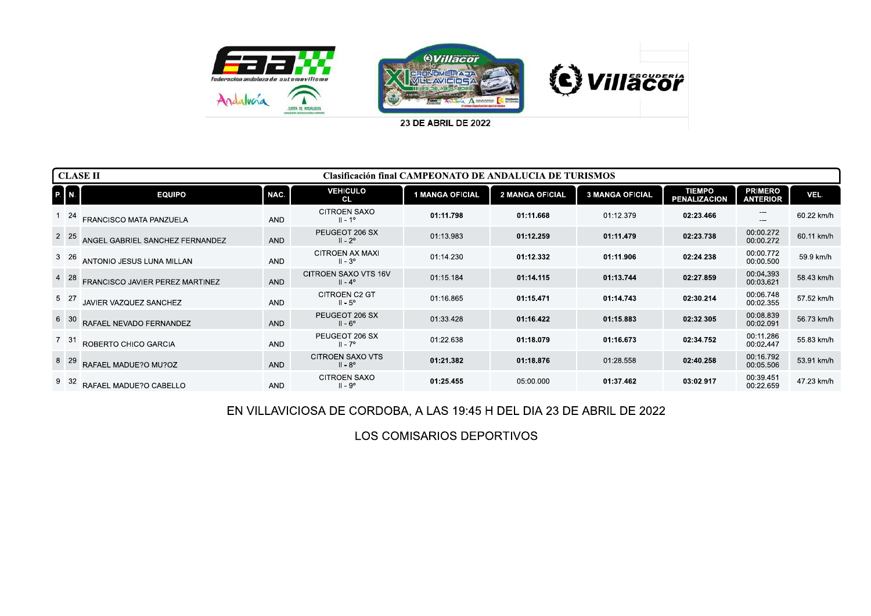

| P. N. | <b>EQUIPO</b>                                              | NAC.       | <b>VEHICULO</b>                             |                 |                 |                        |                                      |                                   |            |
|-------|------------------------------------------------------------|------------|---------------------------------------------|-----------------|-----------------|------------------------|--------------------------------------|-----------------------------------|------------|
|       |                                                            |            | <b>CL</b>                                   | 1 MANGA OFICIAL | 2 MANGA OFICIAL | <b>3 MANGA OFICIAL</b> | <b>TIEMPO</b><br><b>PENALIZACION</b> | <b>PRIMERO</b><br><b>ANTERIOR</b> | VEL.       |
|       | 1 24 FRANCISCO MATA PANZUELA                               | <b>AND</b> | CITROEN SAXO<br>$II - 1^{\circ}$            | 01:11.798       | 01:11.668       | 01:12.379              | 02:23.466                            | $\Box$                            | 60.22 km/h |
|       | <sup>2</sup> <sup>25</sup> ANGEL GABRIEL SANCHEZ FERNANDEZ | AND        | PEUGEOT 206 SX<br>$II - 2^{\circ}$          | 01:13.983       | 01:12.259       | 01:11.479              | 02:23.738                            | 00:00.272<br>00:00.272            | 60.11 km/h |
|       | 3 26 ANTONIO JESUS LUNA MILLAN                             | <b>AND</b> | CITROEN AX MAXI<br>II - 3º                  | 01:14.230       | 01:12.332       | 01:11.906              | 02:24.238                            | 00:00.772<br>00:00.500            | 59.9 km/h  |
|       | 4 28 FRANCISCO JAVIER PEREZ MARTINEZ                       | AND        | CITROEN SAXO VTS 16V<br>$II - 4^{\circ}$    | 01:15.184       | 01:14.115       | 01:13.744              | 02:27.859                            | 00:04.393<br>00:03.621            | 58.43 km/h |
|       | 5 27 JAVIER VAZQUEZ SANCHEZ                                | AND        | CITROEN C2 GT<br>$II - 5^\circ$             | 01:16.865       | 01:15.471       | 01:14.743              | 02:30.214                            | 00:06.748<br>00:02.355            | 57.52 km/h |
|       | 6 30 RAFAEL NEVADO FERNANDEZ                               | AND        | PEUGEOT 206 SX<br>$II - 6^\circ$            | 01:33.428       | 01:16.422       | 01:15.883              | 02:32.305                            | 00:08.839<br>00:02.091            | 56.73 km/h |
|       | 7 31 ROBERTO CHICO GARCIA                                  | AND        | PEUGEOT 206 SX<br>$II - 7^{\circ}$          | 01:22.638       | 01:18.079       | 01:16.673              | 02:34.752                            | 00:11.286<br>00:02.447            | 55.83 km/h |
|       | 8 29 RAFAEL MADUE?O MU?OZ                                  | AND        | <b>CITROEN SAXO VTS</b><br>$II - 8^{\circ}$ | 01:21.382       | 01:18.876       | 01:28.558              | 02:40.258                            | 00:16.792<br>00:05.506            | 53.91 km/h |
|       | 9 32 RAFAEL MADUE?O CABELLO                                | AND        | CITROEN SAXO<br>$II - 9^\circ$              | 01:25.455       | 05:00.000       | 01:37.462              | 03:02.917                            | 00:39.451<br>00:22.659            | 47.23 km/h |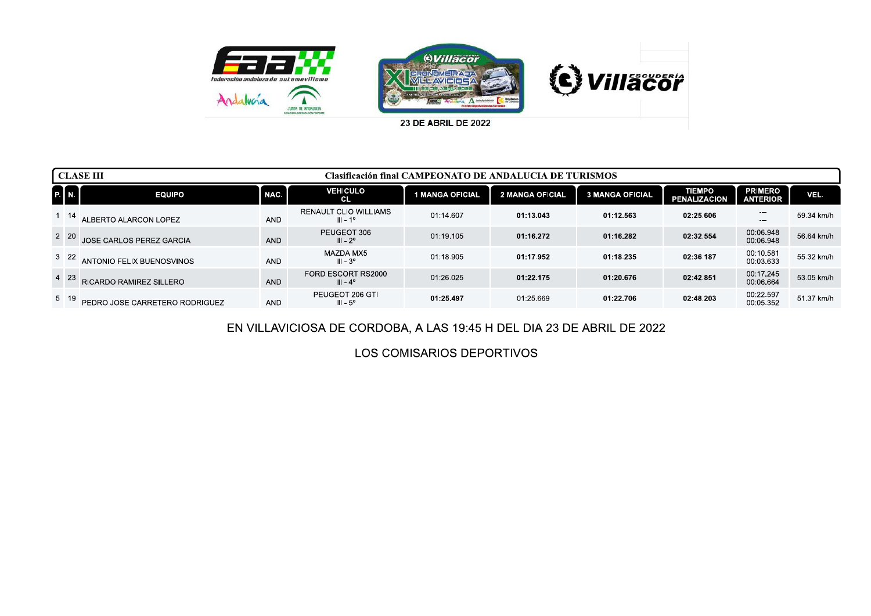

|              | <b>CLASE III</b>               |            |                                                   | Clasificación final CAMPEONATO DE ANDALUCIA DE TURISMOS |                        |                        |                                      |                                   |            |
|--------------|--------------------------------|------------|---------------------------------------------------|---------------------------------------------------------|------------------------|------------------------|--------------------------------------|-----------------------------------|------------|
| <b>P</b> M   | <b>EQUIPO</b>                  | NAC.       | <b>VEHICULO</b><br><b>CL</b>                      | <b>MANGA OFICIAL</b>                                    | <b>2 MANGA OFICIAL</b> | <b>3 MANGA OFICIAL</b> | <b>TIEMPO</b><br><b>PENALIZACION</b> | <b>PRIMERO</b><br><b>ANTERIOR</b> | VEL.       |
| $1 \quad 14$ | ALBERTO ALARCON LOPEZ          | <b>AND</b> | <b>RENAULT CLIO WILLIAMS</b><br>$III - 1^{\circ}$ | 01:14.607                                               | 01:13.043              | 01:12.563              | 02:25.606                            | ---<br>---                        | 59.34 km/h |
| 2 20         | JOSE CARLOS PEREZ GARCIA       | <b>AND</b> | PEUGEOT 306<br>$III - 2o$                         | 01:19.105                                               | 01:16.272              | 01:16.282              | 02:32.554                            | 00:06.948<br>00:06.948            | 56.64 km/h |
| $3\quad22$   | ANTONIO FELIX BUENOSVINOS      | <b>AND</b> | MAZDA MX5<br>$III - 3^{\circ}$                    | 01:18.905                                               | 01:17.952              | 01:18.235              | 02:36.187                            | 00:10.581<br>00:03.633            | 55.32 km/h |
| 4 23         | RICARDO RAMIREZ SILLERO        | <b>AND</b> | FORD ESCORT RS2000<br>$III - 4^{\circ}$           | 01:26.025                                               | 01:22.175              | 01:20.676              | 02:42.851                            | 00:17.245<br>00:06.664            | 53.05 km/h |
| 5 19         | PEDRO JOSE CARRETERO RODRIGUEZ | <b>AND</b> | PEUGEOT 206 GTI<br>$III - 5^\circ$                | 01:25.497                                               | 01:25.669              | 01:22.706              | 02:48.203                            | 00:22.597<br>00:05.352            | 51.37 km/h |

## EN VILLAVICIOSA DE CORDOBA, A LAS 19:45 H DEL DIA 23 DE ABRIL DE 2022

LOS COMISARIOS DEPORTIVOS